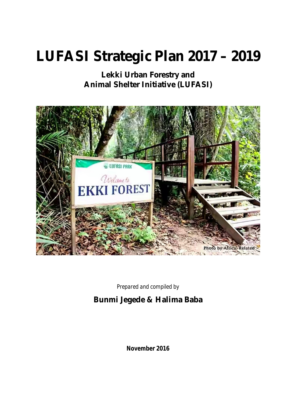# **LUFASI Strategic Plan 2017 – 2019**

**Lekki Urban Forestry and Animal Shelter Initiative (LUFASI)**



*Prepared and compiled by*

## **Bunmi Jegede & Halima Baba**

**November 2016**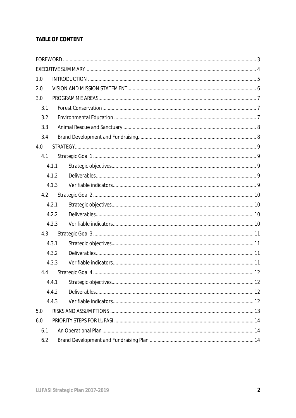## **TABLE OF CONTENT**

| 1.0   |       |  |  |
|-------|-------|--|--|
| 2.0   |       |  |  |
| 3.0   |       |  |  |
| 3.1   |       |  |  |
| 3.2   |       |  |  |
| 3.3   |       |  |  |
| 3.4   |       |  |  |
| 4.0   |       |  |  |
| 4.1   |       |  |  |
|       | 4.1.1 |  |  |
|       | 4.1.2 |  |  |
|       | 4.1.3 |  |  |
| 4.2   |       |  |  |
|       | 4.2.1 |  |  |
| 4.2.2 |       |  |  |
|       | 4.2.3 |  |  |
| 4.3   |       |  |  |
|       | 4.3.1 |  |  |
|       | 4.3.2 |  |  |
|       | 4.3.3 |  |  |
| 4.4   |       |  |  |
|       | 4.4.1 |  |  |
|       | 4.4.2 |  |  |
|       | 4.4.3 |  |  |
| 5.0   |       |  |  |
| 6.0   |       |  |  |
| 6.1   |       |  |  |
| 6.2   |       |  |  |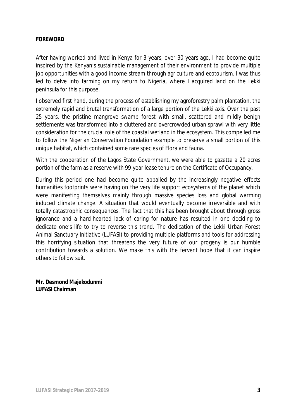#### **FOREWORD**

After having worked and lived in Kenya for 3 years, over 30 years ago, I had become quite inspired by the Kenyan's sustainable management of their environment to provide multiple job opportunities with a good income stream through agriculture and ecotourism. I was thus led to delve into farming on my return to Nigeria, where I acquired land on the Lekki peninsula for this purpose.

I observed first hand, during the process of establishing my agroforestry palm plantation, the extremely rapid and brutal transformation of a large portion of the Lekki axis. Over the past 25 years, the pristine mangrove swamp forest with small, scattered and mildly benign settlements was transformed into a cluttered and overcrowded urban sprawl with very little consideration for the crucial role of the coastal wetland in the ecosystem. This compelled me to follow the Nigerian Conservation Foundation example to preserve a small portion of this unique habitat, which contained some rare species of Flora and fauna.

With the cooperation of the Lagos State Government, we were able to gazette a 20 acres portion of the farm as a reserve with 99-year lease tenure on the Certificate of Occupancy.

During this period one had become quite appalled by the increasingly negative effects humanities footprints were having on the very life support ecosystems of the planet which were manifesting themselves mainly through massive species loss and global warming induced climate change. A situation that would eventually become irreversible and with totally catastrophic consequences. The fact that this has been brought about through gross ignorance and a hard-hearted lack of caring for nature has resulted in one deciding to dedicate one's life to try to reverse this trend. The dedication of the Lekki Urban Forest Animal Sanctuary Initiative (LUFASI) to providing multiple platforms and tools for addressing this horrifying situation that threatens the very future of our progeny is our humble contribution towards a solution. We make this with the fervent hope that it can inspire others to follow suit.

**Mr. Desmond Majekodunmi LUFASI Chairman**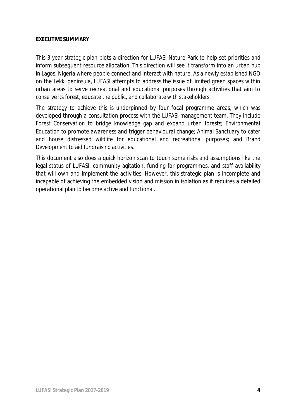#### **EXECUTIVE SUMMARY**

This 3-year strategic plan plots a direction for LUFASI Nature Park to help set priorities and inform subsequent resource allocation. This direction will see it transform into an urban hub in Lagos, Nigeria where people connect and interact with nature. As a newly established NGO on the Lekki peninsula, LUFASI attempts to address the issue of limited green spaces within urban areas to serve recreational and educational purposes through activities that aim to *conserve its forest, educate the public, and collaborate with stakeholders*.

The strategy to achieve this is underpinned by four focal programme areas, which was developed through a consultation process with the LUFASI management team. They include *Forest Conservation* to bridge knowledge gap and expand urban forests; *Environmental Education* to promote awareness and trigger behavioural change; *Animal Sanctuary* to cater and house distressed wildlife for educational and recreational purposes; and *Brand Development* to aid fundraising activities.

This document also does a quick horizon scan to touch some risks and assumptions like the legal status of LUFASI, community agitation, funding for programmes, and staff availability that will own and implement the activities. However, this strategic plan is incomplete and incapable of achieving the embedded vision and mission in isolation as it requires a detailed operational plan to become active and functional.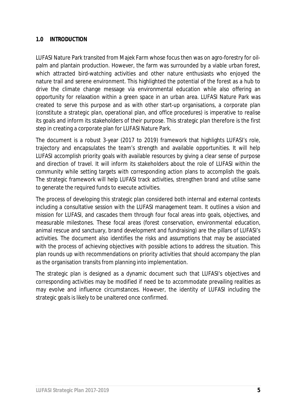## **1.0 INTRODUCTION**

LUFASI Nature Park transited from Majek Farm whose focus then was on agro-forestry for oilpalm and plantain production. However, the farm was surrounded by a viable urban forest, which attracted bird-watching activities and other nature enthusiasts who enjoyed the nature trail and serene environment. This highlighted the potential of the forest as a hub to drive the climate change message via environmental education while also offering an opportunity for relaxation within a green space in an urban area. LUFASI Nature Park was created to serve this purpose and as with other start-up organisations, a corporate plan (constitute a *strategic plan*, *operational plan*, and *office procedures*) is imperative to realise its goals and inform its stakeholders of their purpose. This strategic plan therefore is the first step in creating a corporate plan for LUFASI Nature Park.

The document is a robust 3-year (2017 to 2019) framework that highlights LUFASI's role, trajectory and encapsulates the team's strength and available opportunities. It will help LUFASI accomplish priority goals with available resources by giving a clear sense of purpose and direction of travel. It will inform its stakeholders about the role of LUFASI within the community while setting targets with corresponding action plans to accomplish the goals. The strategic framework will help LUFASI track activities, strengthen brand and utilise same to generate the required funds to execute activities.

The process of developing this strategic plan considered both internal and external contexts including a consultative session with the LUFASI management team. It outlines a vision and mission for LUFASI, and cascades them through four focal areas into goals, objectives, and measurable milestones. These focal areas (forest conservation, environmental education, animal rescue and sanctuary, brand development and fundraising) are the pillars of LUFASI's activities. The document also identifies the risks and assumptions that may be associated with the process of achieving objectives with possible actions to address the situation. This plan rounds up with recommendations on priority activities that should accompany the plan as the organisation transits from planning into implementation.

The strategic plan is designed as a dynamic document such that LUFASI's objectives and corresponding activities may be modified if need be to accommodate prevailing realities as may evolve and influence circumstances. However, the identity of LUFASI including the strategic goals is likely to be unaltered once confirmed.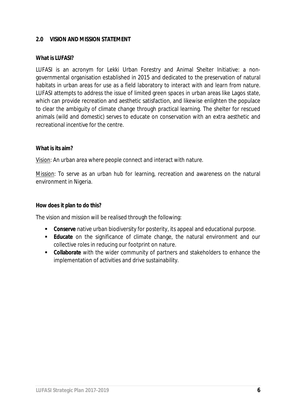#### **2.0 VISION AND MISSION STATEMENT**

#### **What is LUFASI?**

LUFASI is an acronym for Lekki Urban Forestry and Animal Shelter Initiative: a nongovernmental organisation established in 2015 and dedicated to the preservation of natural habitats in urban areas for use as a field laboratory to interact with and learn from nature. LUFASI attempts to address the issue of limited green spaces in urban areas like Lagos state, which can provide recreation and aesthetic satisfaction, and likewise enlighten the populace to clear the ambiguity of climate change through practical learning. The shelter for rescued animals (wild and domestic) serves to educate on conservation with an extra aesthetic and recreational incentive for the centre.

#### **What is its aim?**

Vision: An urban area where people connect and interact with nature.

Mission: To serve as an urban hub for learning, recreation and awareness on the natural environment in Nigeria.

#### **How does it plan to do this?**

The vision and mission will be realised through the following:

- **Conserve** native urban biodiversity for posterity, its appeal and educational purpose.
- **Educate** on the significance of climate change, the natural environment and our collective roles in reducing our footprint on nature.
- **Collaborate** with the wider community of partners and stakeholders to enhance the implementation of activities and drive sustainability.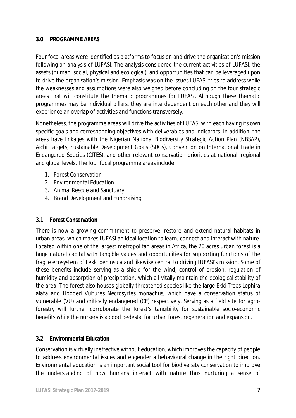## **3.0 PROGRAMME AREAS**

Four focal areas were identified as platforms to focus on and drive the organisation's mission following an analysis of LUFASI. The analysis considered the current activities of LUFASI, the assets (human, social, physical and ecological), and opportunities that can be leveraged upon to drive the organisation's mission. Emphasis was on the issues LUFASI tries to address while the weaknesses and assumptions were also weighed before concluding on the four strategic areas that will constitute the thematic programmes for LUFASI. Although these thematic programmes may be individual pillars, they are interdependent on each other and they will experience an overlap of activities and functions transversely.

Nonetheless, the programme areas will drive the activities of LUFASI with each having its own specific goals and corresponding objectives with deliverables and indicators. In addition, the areas have linkages with the Nigerian National Biodiversity Strategic Action Plan (NBSAP), Aichi Targets, Sustainable Development Goals (SDGs), Convention on International Trade in Endangered Species (CITES), and other relevant conservation priorities at national, regional and global levels. The four focal programme areas include:

- 1. Forest Conservation
- 2. Environmental Education
- 3. Animal Rescue and Sanctuary
- 4. Brand Development and Fundraising

## **3.1 Forest Conservation**

There is now a growing commitment to preserve, restore and extend natural habitats in urban areas, which makes LUFASI an ideal location to learn, connect and interact with nature. Located within one of the largest metropolitan areas in Africa, the 20 acres urban forest is a huge natural capital with tangible values and opportunities for supporting functions of the fragile ecosystem of Lekki peninsula and likewise central to driving LUFASI's mission. Some of these benefits include serving as a shield for the wind, control of erosion, regulation of humidity and absorption of precipitation, which all vitally maintain the ecological stability of the area. The forest also houses globally threatened species like the large Ekki Trees *Lophira alata* and Hooded Vultures *Necrosyrtes monachus*, which have a conservation status of vulnerable (VU) and critically endangered (CE) respectively. Serving as a field site for agroforestry will further corroborate the forest's tangibility for sustainable socio-economic benefits while the nursery is a good pedestal for urban forest regeneration and expansion.

## **3.2 Environmental Education**

Conservation is virtually ineffective without education, which improves the capacity of people to address environmental issues and engender a behavioural change in the right direction. Environmental education is an important social tool for biodiversity conservation to improve the understanding of how humans interact with nature thus nurturing a sense of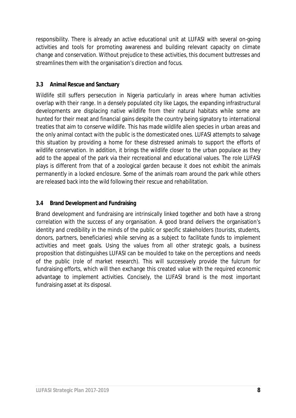responsibility. There is already an active educational unit at LUFASI with several on-going activities and tools for promoting awareness and building relevant capacity on climate change and conservation. Without prejudice to these activities, this document buttresses and streamlines them with the organisation's direction and focus.

## **3.3 Animal Rescue and Sanctuary**

Wildlife still suffers persecution in Nigeria particularly in areas where human activities overlap with their range. In a densely populated city like Lagos, the expanding infrastructural developments are displacing native wildlife from their natural habitats while some are hunted for their meat and financial gains despite the country being signatory to international treaties that aim to conserve wildlife. This has made wildlife alien species in urban areas and the only animal contact with the public is the domesticated ones. LUFASI attempts to salvage this situation by providing a home for these distressed animals to support the efforts of wildlife conservation. In addition, it brings the wildlife closer to the urban populace as they add to the appeal of the park via their recreational and educational values. The role LUFASI plays is different from that of a zoological garden because it does not exhibit the animals permanently in a locked enclosure. Some of the animals roam around the park while others are released back into the wild following their rescue and rehabilitation.

## **3.4 Brand Development and Fundraising**

Brand development and fundraising are intrinsically linked together and both have a strong correlation with the success of any organisation. A good brand delivers the organisation's identity and credibility in the minds of the public or specific stakeholders (tourists, students, donors, partners, beneficiaries) while serving as a subject to facilitate funds to implement activities and meet goals. Using the values from all other strategic goals, a business proposition that distinguishes LUFASI can be moulded to take on the perceptions and needs of the public (role of market research). This will successively provide the fulcrum for fundraising efforts, which will then exchange this created value with the required economic advantage to implement activities. Concisely, the LUFASI brand is the most important fundraising asset at its disposal.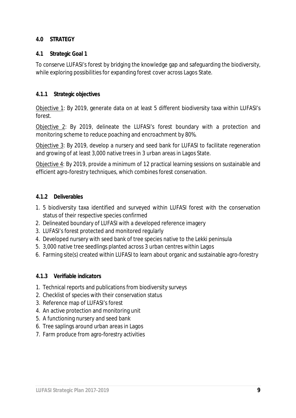## **4.0 STRATEGY**

#### **4.1 Strategic Goal 1**

To conserve LUFASI's forest by bridging the knowledge gap and safeguarding the biodiversity, while exploring possibilities for expanding forest cover across Lagos State.

#### **4.1.1 Strategic objectives**

Objective 1: By 2019, generate data on at least 5 different biodiversity taxa within LUFASI's forest.

Objective 2: By 2019, delineate the LUFASI's forest boundary with a protection and monitoring scheme to reduce poaching and encroachment by 80%.

Objective 3: By 2019, develop a nursery and seed bank for LUFASI to facilitate regeneration and growing of at least 3,000 native trees in 3 urban areas in Lagos State.

Objective 4: By 2019, provide a minimum of 12 practical learning sessions on sustainable and efficient agro-forestry techniques, which combines forest conservation.

#### **4.1.2 Deliverables**

- 1. 5 biodiversity taxa identified and surveyed within LUFASI forest with the conservation status of their respective species confirmed
- 2. Delineated boundary of LUFASI with a developed reference imagery
- 3. LUFASI's forest protected and monitored regularly
- 4. Developed nursery with seed bank of tree species native to the Lekki peninsula
- 5. 3,000 native tree seedlings planted across 3 urban centres within Lagos
- 6. Farming site(s) created within LUFASI to learn about organic and sustainable agro-forestry

#### **4.1.3 Verifiable indicators**

- 1. Technical reports and publications from biodiversity surveys
- 2. Checklist of species with their conservation status
- 3. Reference map of LUFASI's forest
- 4. An active protection and monitoring unit
- 5. A functioning nursery and seed bank
- 6. Tree saplings around urban areas in Lagos
- 7. Farm produce from agro-forestry activities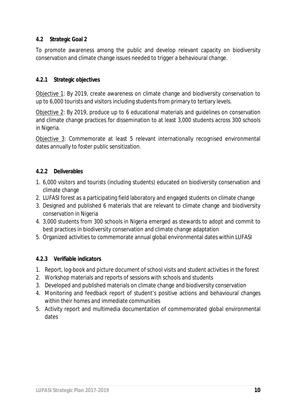## **4.2 Strategic Goal 2**

To promote awareness among the public and develop relevant capacity on biodiversity conservation and climate change issues needed to trigger a behavioural change.

## **4.2.1 Strategic objectives**

Objective 1: By 2019, create awareness on climate change and biodiversity conservation to up to 6,000 tourists and visitors including students from primary to tertiary levels.

Objective 2: By 2019, produce up to 6 educational materials and guidelines on conservation and climate change practices for dissemination to at least 3,000 students across 300 schools in Nigeria.

Objective 3: Commemorate at least 5 relevant internationally recognised environmental dates annually to foster public sensitization.

## **4.2.2 Deliverables**

- 1. 6,000 visitors and tourists (including students) educated on biodiversity conservation and climate change
- 2. LUFASI forest as a participating field laboratory and engaged students on climate change
- 3. Designed and published 6 materials that are relevant to climate change and biodiversity conservation in Nigeria
- 4. 3,000 students from 300 schools in Nigeria emerged as stewards to adopt and commit to best practices in biodiversity conservation and climate change adaptation
- 5. Organized activities to commemorate annual global environmental dates within LUFASI

## **4.2.3 Verifiable indicators**

- 1. Report, log-book and picture document of school visits and student activities in the forest
- 2. Workshop materials and reports of sessions with schools and students
- 3. Developed and published materials on climate change and biodiversity conservation
- 4. Monitoring and feedback report of student's positive actions and behavioural changes within their homes and immediate communities
- 5. Activity report and multimedia documentation of commemorated global environmental dates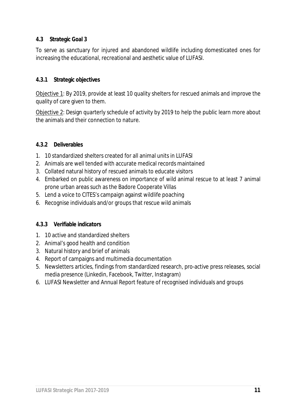## **4.3 Strategic Goal 3**

To serve as sanctuary for injured and abandoned wildlife including domesticated ones for increasing the educational, recreational and aesthetic value of LUFASI.

#### **4.3.1 Strategic objectives**

Objective 1: By 2019, provide at least 10 quality shelters for rescued animals and improve the quality of care given to them.

Objective 2: Design quarterly schedule of activity by 2019 to help the public learn more about the animals and their connection to nature.

#### **4.3.2 Deliverables**

- 1. 10 standardized shelters created for all animal units in LUFASI
- 2. Animals are well tended with accurate medical records maintained
- 3. Collated natural history of rescued animals to educate visitors
- 4. Embarked on public awareness on importance of wild animal rescue to at least 7 animal prone urban areas such as the Badore Cooperate Villas
- 5. Lend a voice to CITES's campaign against wildlife poaching
- 6. Recognise individuals and/or groups that rescue wild animals

#### **4.3.3 Verifiable indicators**

- 1. 10 active and standardized shelters
- 2. Animal's good health and condition
- 3. Natural history and brief of animals
- 4. Report of campaigns and multimedia documentation
- 5. Newsletters articles, findings from standardized research, pro-active press releases, social media presence (Linkedin, Facebook, Twitter, Instagram)
- 6. LUFASI Newsletter and Annual Report feature of recognised individuals and groups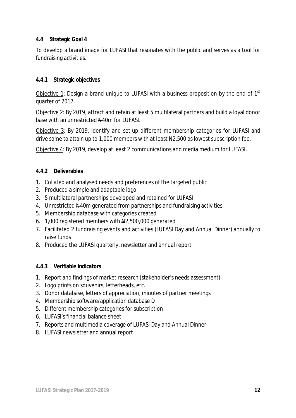## **4.4 Strategic Goal 4**

To develop a brand image for LUFASI that resonates with the public and serves as a tool for fundraising activities.

## **4.4.1 Strategic objectives**

Objective 1: Design a brand unique to LUFASI with a business proposition by the end of  $1<sup>st</sup>$ quarter of 2017.

Objective 2: By 2019, attract and retain at least 5 multilateral partners and build a loyal donor base with an unrestricted  $\frac{100}{100}$  for LUFASI.

Objective 3: By 2019, identify and set-up different membership categories for LUFASI and drive same to attain up to 1,000 members with at least  $\frac{12}{500}$  as lowest subscription fee.

Objective 4: By 2019, develop at least 2 communications and media medium for LUFASI.

## **4.4.2 Deliverables**

- 1. Collated and analysed needs and preferences of the targeted public
- 2. Produced a simple and adaptable logo
- 3. 5 multilateral partnerships developed and retained for LUFASI
- 4. Unrestricted  $\frac{1440m}{m}$  generated from partnerships and fundraising activities
- 5. Membership database with categories created
- 6. 1,000 registered members with  $\frac{12}{1000}$ ,000 generated
- 7. Facilitated 2 fundraising events and activities (LUFASI Day and Annual Dinner) annually to raise funds
- 8. Produced the LUFASI quarterly, newsletter and annual report

## **4.4.3 Verifiable indicators**

- 1. Report and findings of market research (stakeholder's needs assessment)
- 2. Logo prints on souvenirs, letterheads, etc.
- 3. Donor database, letters of appreciation, minutes of partner meetings
- 4. Membership software/application database D
- 5. Different membership categories for subscription
- 6. LUFASI's financial balance sheet
- 7. Reports and multimedia coverage of LUFASI Day and Annual Dinner
- 8. LUFASI newsletter and annual report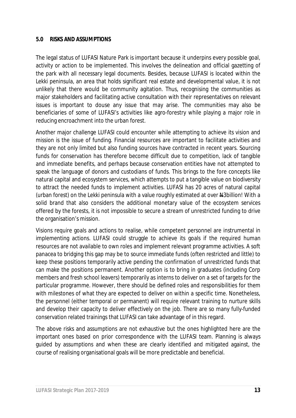#### **5.0 RISKS AND ASSUMPTIONS**

The legal status of LUFASI Nature Park is important because it underpins every possible goal, activity or action to be implemented. This involves the delineation and official gazetting of the park with all necessary legal documents. Besides, because LUFASI is located within the Lekki peninsula, an area that holds significant real estate and developmental value, it is not unlikely that there would be community agitation. Thus, recognising the communities as major stakeholders and facilitating active consultation with their representatives on relevant issues is important to douse any issue that may arise. The communities may also be beneficiaries of some of LUFASI's activities like agro-forestry while playing a major role in reducing encroachment into the urban forest.

Another major challenge LUFASI could encounter while attempting to achieve its vision and mission is the issue of funding. Financial resources are important to facilitate activities and they are not only limited but also funding sources have contracted in recent years. Sourcing funds for conservation has therefore become difficult due to competition, lack of tangible and immediate benefits, and perhaps because conservation entities have not attempted to speak the language of donors and custodians of funds. This brings to the fore concepts like natural capital and ecosystem services, which attempts to put a tangible value on biodiversity to attract the needed funds to implement activities. LUFASI has 20 acres of natural capital (urban forest) on the Lekki peninsula with a value roughly estimated at over #3billion! With a solid brand that also considers the additional monetary value of the ecosystem services offered by the forests, it is not impossible to secure a stream of unrestricted funding to drive the organisation's mission.

Visions require goals and actions to realise, while competent personnel are instrumental in implementing actions. LUFASI could struggle to achieve its goals if the required human resources are not available to own roles and implement relevant programme activities. A soft panacea to bridging this gap may be to source immediate funds (often restricted and little) to keep these positions temporarily active pending the confirmation of unrestricted funds that can make the positions permanent. Another option is to bring in graduates (including Corp members and fresh school leavers) temporarily as interns to deliver on a set of targets for the particular programme. However, there should be defined roles and responsibilities for them with milestones of what they are expected to deliver on within a specific time. Nonetheless, the personnel (either temporal or permanent) will require relevant training to nurture skills and develop their capacity to deliver effectively on the job. There are so many fully-funded conservation related trainings that LUFASI can take advantage of in this regard.

The above risks and assumptions are not exhaustive but the ones highlighted here are the important ones based on prior correspondence with the LUFASI team. Planning is always guided by assumptions and when these are clearly identified and mitigated against, the course of realising organisational goals will be more predictable and beneficial.